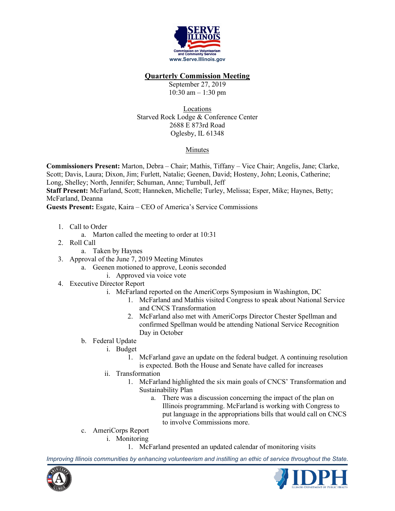

## **Quarterly Commission Meeting**

September 27, 2019 10:30 am – 1:30 pm

Locations Starved Rock Lodge & Conference Center 2688 E 873rd Road Oglesby, IL 61348

## Minutes

**Commissioners Present:** Marton, Debra – Chair; Mathis, Tiffany – Vice Chair; Angelis, Jane; Clarke, Scott; Davis, Laura; Dixon, Jim; Furlett, Natalie; Geenen, David; Hosteny, John; Leonis, Catherine; Long, Shelley; North, Jennifer; Schuman, Anne; Turnbull, Jeff **Staff Present:** McFarland, Scott; Hanneken, Michelle; Turley, Melissa; Esper, Mike; Haynes, Betty; McFarland, Deanna **Guests Present:** Esgate, Kaira – CEO of America's Service Commissions

- 1. Call to Order
	- a. Marton called the meeting to order at 10:31
- 2. Roll Call
	- a. Taken by Haynes
- 3. Approval of the June 7, 2019 Meeting Minutes
	- a. Geenen motioned to approve, Leonis seconded
		- i. Approved via voice vote
- 4. Executive Director Report
	- i. McFarland reported on the AmeriCorps Symposium in Washington, DC
		- 1. McFarland and Mathis visited Congress to speak about National Service and CNCS Transformation
		- 2. McFarland also met with AmeriCorps Director Chester Spellman and confirmed Spellman would be attending National Service Recognition Day in October
	- b. Federal Update
		- i. Budget
			- 1. McFarland gave an update on the federal budget. A continuing resolution is expected. Both the House and Senate have called for increases
		- ii. Transformation
			- 1. McFarland highlighted the six main goals of CNCS' Transformation and Sustainability Plan
				- a. There was a discussion concerning the impact of the plan on Illinois programming. McFarland is working with Congress to put language in the appropriations bills that would call on CNCS to involve Commissions more.
	- c. AmeriCorps Report
		- i. Monitoring
			- 1. McFarland presented an updated calendar of monitoring visits

*Improving Illinois communities by enhancing volunteerism and instilling an ethic of service throughout the State.*



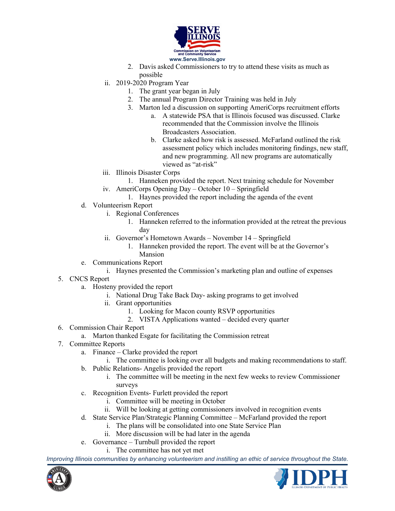

- 2. Davis asked Commissioners to try to attend these visits as much as possible
- ii. 2019-2020 Program Year
	- 1. The grant year began in July
	- 2. The annual Program Director Training was held in July
	- 3. Marton led a discussion on supporting AmeriCorps recruitment efforts
		- a. A statewide PSA that is Illinois focused was discussed. Clarke recommended that the Commission involve the Illinois Broadcasters Association.
		- b. Clarke asked how risk is assessed. McFarland outlined the risk assessment policy which includes monitoring findings, new staff, and new programming. All new programs are automatically viewed as "at-risk"
- iii. Illinois Disaster Corps
- 1. Hanneken provided the report. Next training schedule for November
- iv. AmeriCorps Opening Day October 10 Springfield
	- 1. Haynes provided the report including the agenda of the event
- d. Volunteerism Report
	- i. Regional Conferences
		- 1. Hanneken referred to the information provided at the retreat the previous day
	- ii. Governor's Hometown Awards November 14 Springfield
		- 1. Hanneken provided the report. The event will be at the Governor's
		- Mansion
- e. Communications Report
	- i. Haynes presented the Commission's marketing plan and outline of expenses
- 5. CNCS Report
	- a. Hosteny provided the report
		- i. National Drug Take Back Day- asking programs to get involved
		- ii. Grant opportunities
			- 1. Looking for Macon county RSVP opportunities
			- 2. VISTA Applications wanted decided every quarter
- 6. Commission Chair Report
	- a. Marton thanked Esgate for facilitating the Commission retreat
- 7. Committee Reports
	- a. Finance Clarke provided the report
		- i. The committee is looking over all budgets and making recommendations to staff.
	- b. Public Relations- Angelis provided the report
		- i. The committee will be meeting in the next few weeks to review Commissioner surveys
	- c. Recognition Events- Furlett provided the report
		- i. Committee will be meeting in October
		- ii. Will be looking at getting commissioners involved in recognition events
	- d. State Service Plan/Strategic Planning Committee McFarland provided the report
		- i. The plans will be consolidated into one State Service Plan
		- ii. More discussion will be had later in the agenda
	- e. Governance Turnbull provided the report
		- i. The committee has not yet met

*Improving Illinois communities by enhancing volunteerism and instilling an ethic of service throughout the State.*